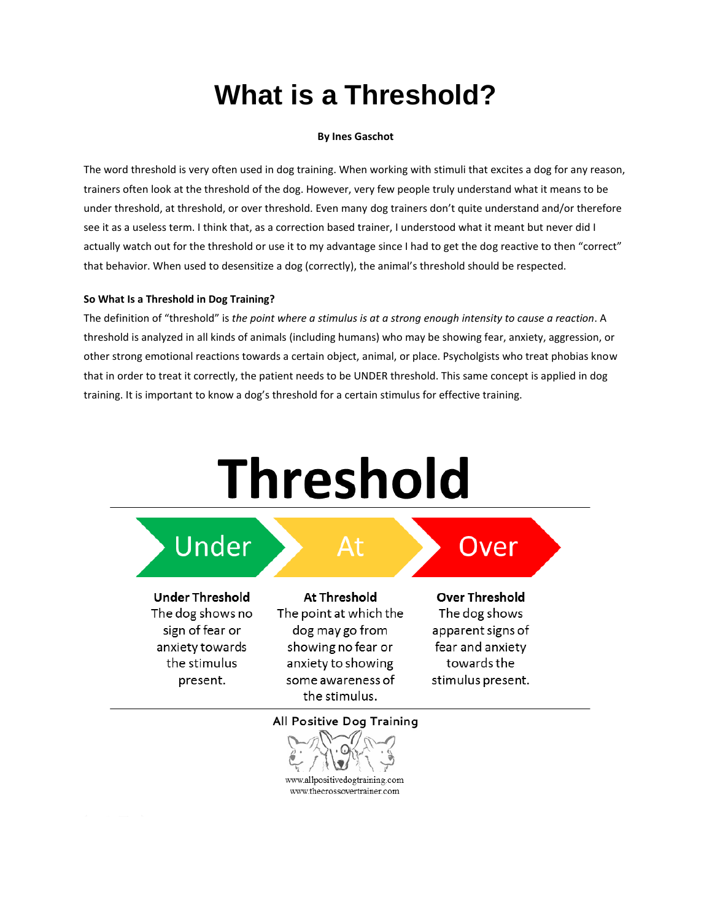## **What is a Threshold?**

## **By Ines Gaschot**

The word threshold is very often used in dog training. When working with stimuli that excites a dog for any reason, trainers often look at the threshold of the dog. However, very few people truly understand what it means to be under threshold, at threshold, or over threshold. Even many dog trainers don't quite understand and/or therefore see it as a useless term. I think that, as a correction based trainer, I understood what it meant but never did I actually watch out for the threshold or use it to my advantage since I had to get the dog reactive to then "correct" that behavior. When used to desensitize a dog (correctly), the animal's threshold should be respected.

## **So What Is a Threshold in Dog Training?**

The definition of "threshold" is *the point where a stimulus is at a strong enough intensity to cause a reaction*. A threshold is analyzed in all kinds of animals (including humans) who may be showing fear, anxiety, aggression, or other strong emotional reactions towards a certain object, animal, or place. Psycholgists who treat phobias know that in order to treat it correctly, the patient needs to be UNDER threshold. This same concept is applied in dog training. It is important to know a dog's threshold for a certain stimulus for effective training.

# **Threshold**



sign of fear or anxiety towards the stimulus present.

dog may go from showing no fear or anxiety to showing some awareness of the stimulus.

## apparent signs of fear and anxiety towards the stimulus present.

All Positive Dog Training



www.allpositivedogtraining.com www.thecrossovertrainer.com